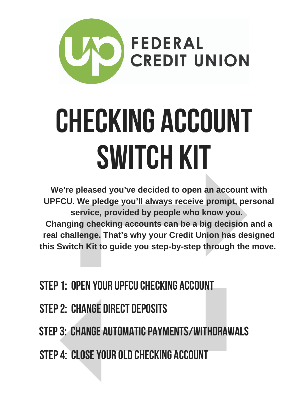

# Checking Account Switch Kit

**We're pleased you've decided to open an account with UPFCU. We pledge you'll always receive prompt, personal service, provided by people who know you. Changing checking accounts can be a big decision and a real challenge. That's why your Credit Union has designed this Switch Kit to guide you step-by-step through the move.**

- STEP 1: OPEN YOUR UPFCU CHECKING ACCOUNT
- Step2: CHANGE DIRECT DEPOSITS
- STEP 3: CHANGE AUTOMATIC PAYMENTS/WITHDRAWALS
- Step4: CLOSEYOUR OLD checking ACCOUNT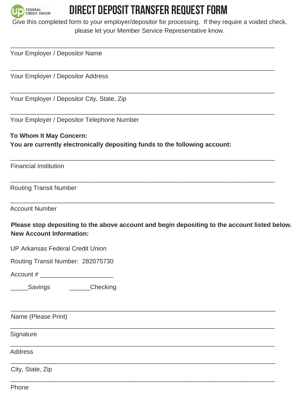

#### DIRECT DEPOSIT TRANSFER REQUEST FORM

Give this completed form to your employer/depositor for processing. If they require a voided check, please let your Member Service Representative know.

 $\mathcal{L}_\text{max}$  , and the contribution of the contribution of the contribution of the contribution of the contribution of the contribution of the contribution of the contribution of the contribution of the contribution of t

 $\mathcal{L}_\text{max}$  , and the contribution of the contribution of the contribution of the contribution of the contribution of the contribution of the contribution of the contribution of the contribution of the contribution of t

 $\mathcal{L}_\text{max}$  , and the contribution of the contribution of the contribution of the contribution of the contribution of the contribution of the contribution of the contribution of the contribution of the contribution of t

 $\mathcal{L}_\text{max}$  , and the contribution of the contribution of the contribution of the contribution of the contribution of the contribution of the contribution of the contribution of the contribution of the contribution of t

 $\mathcal{L}_\text{max}$  , and the contribution of the contribution of the contribution of the contribution of the contribution of the contribution of the contribution of the contribution of the contribution of the contribution of t

 $\mathcal{L}_\text{max}$  , and the contribution of the contribution of the contribution of the contribution of the contribution of the contribution of the contribution of the contribution of the contribution of the contribution of t

 $\mathcal{L}_\text{max}$  , and the contribution of the contribution of the contribution of the contribution of the contribution of the contribution of the contribution of the contribution of the contribution of the contribution of t

 $\mathcal{L}_\text{max}$  , and the contribution of the contribution of the contribution of the contribution of the contribution of the contribution of the contribution of the contribution of the contribution of the contribution of t

 $\mathcal{L}_\text{max}$  , and the contribution of the contribution of the contribution of the contribution of the contribution of the contribution of the contribution of the contribution of the contribution of the contribution of t

 $\mathcal{L}_\text{max}$  , and the contribution of the contribution of the contribution of the contribution of the contribution of the contribution of the contribution of the contribution of the contribution of the contribution of t

 $\mathcal{L}_\text{max}$  , and the contribution of the contribution of the contribution of the contribution of the contribution of the contribution of the contribution of the contribution of the contribution of the contribution of t

 $\mathcal{L}_\text{max}$  , and the contribution of the contribution of the contribution of the contribution of the contribution of the contribution of the contribution of the contribution of the contribution of the contribution of t

Your Employer / Depositor Name

Your Employer / Depositor Address

Your Employer / Depositor City, State, Zip

Your Employer / Depositor Telephone Number

**To Whom It May Concern: You are currently electronically depositing funds to the following account:**

Financial Institution

Routing Transit Number

Account Number

**Please stop depositing to the above account and begin depositing to the account listed below. New Account Information:**

| UP Arkansas Federal Credit Union |  |
|----------------------------------|--|
|----------------------------------|--|

Routing Transit Number: 282075730

Account #

Savings **Checking** 

Name (Please Print)

**Signature** 

**Address** 

City, State, Zip

Phone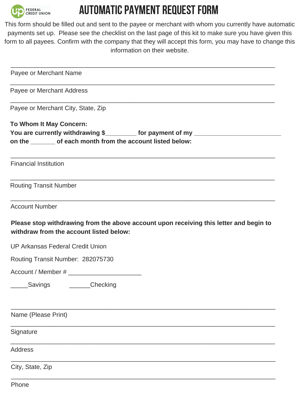

### AUTOMATIC PAYMENT REQUEST FORM

This form should be filled out and sent to the payee or merchant with whom you currently have automatic payments set up. Please see the checklist on the last page of this kit to make sure you have given this form to all payees. Confirm with the company that they will accept this form, you may have to change this information on their website.

| Payee or Merchant Name                                                                |                                                                                        |
|---------------------------------------------------------------------------------------|----------------------------------------------------------------------------------------|
| Payee or Merchant Address                                                             |                                                                                        |
| Payee or Merchant City, State, Zip                                                    |                                                                                        |
| To Whom It May Concern:<br>on the ______ of each month from the account listed below: | You are currently withdrawing \$_________ for payment of my _____________________      |
| <b>Financial Institution</b>                                                          |                                                                                        |
| <b>Routing Transit Number</b>                                                         |                                                                                        |
| <b>Account Number</b>                                                                 |                                                                                        |
| withdraw from the account listed below:                                               | Please stop withdrawing from the above account upon receiving this letter and begin to |
| UP Arkansas Federal Credit Union                                                      |                                                                                        |
| Routing Transit Number: 282075730                                                     |                                                                                        |
|                                                                                       |                                                                                        |
| Checking<br>Savings                                                                   |                                                                                        |
| Name (Please Print)                                                                   |                                                                                        |
| Signature                                                                             |                                                                                        |
| <b>Address</b>                                                                        |                                                                                        |
| City, State, Zip                                                                      |                                                                                        |
|                                                                                       |                                                                                        |

Phone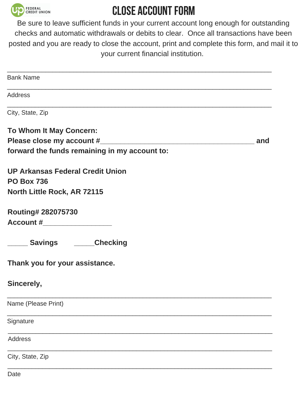

### **CLOSE ACCOUNT FORM**

Be sure to leave sufficient funds in your current account long enough for outstanding checks and automatic withdrawals or debits to clear. Once all transactions have been posted and you are ready to close the account, print and complete this form, and mail it to your current financial institution.

| <b>Bank Name</b>                              |     |
|-----------------------------------------------|-----|
| Address                                       |     |
| City, State, Zip                              |     |
| To Whom It May Concern:                       |     |
|                                               | and |
| forward the funds remaining in my account to: |     |
| <b>UP Arkansas Federal Credit Union</b>       |     |
| <b>PO Box 736</b>                             |     |
| <b>North Little Rock, AR 72115</b>            |     |
| Routing# 282075730                            |     |
|                                               |     |
| ______ Savings _______Checking                |     |
| Thank you for your assistance.                |     |
| Sincerely,                                    |     |
| Name (Please Print)                           |     |
| Signature                                     |     |
| <b>Address</b>                                |     |
| City, State, Zip                              |     |
|                                               |     |